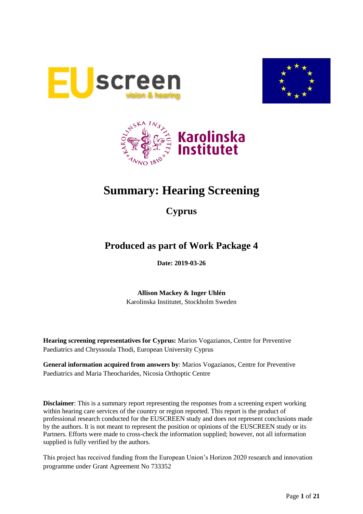





# **Summary: Hearing Screening**

## **Cyprus**

## **Produced as part of Work Package 4**

**Date: 2019-03-26**

**Allison Mackey & Inger Uhlén** Karolinska Institutet, Stockholm Sweden

**Hearing screening representatives for Cyprus:** Marios Vogazianos, Centre for Preventive Paediatrics and Chryssoula Thodi, European University Cyprus

**General information acquired from answers by**: Marios Vogazianos, Centre for Preventive Paediatrics and Maria Theocharides, Nicosia Orthoptic Centre

**Disclaimer**: This is a summary report representing the responses from a screening expert working within hearing care services of the country or region reported. This report is the product of professional research conducted for the EUSCREEN study and does not represent conclusions made by the authors. It is not meant to represent the position or opinions of the EUSCREEN study or its Partners. Efforts were made to cross-check the information supplied; however, not all information supplied is fully verified by the authors.

This project has received funding from the European Union's Horizon 2020 research and innovation programme under Grant Agreement No 733352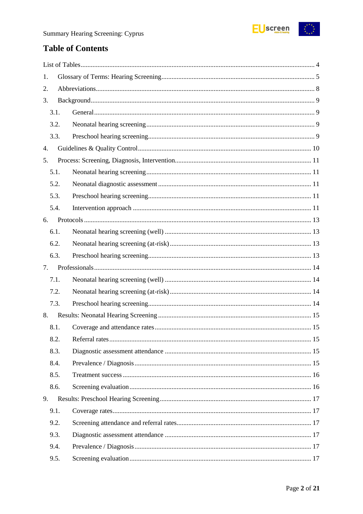

## **Table of Contents**

| 1. |      |  |
|----|------|--|
| 2. |      |  |
| 3. |      |  |
|    | 3.1. |  |
|    | 3.2. |  |
|    | 3.3. |  |
| 4. |      |  |
| 5. |      |  |
|    | 5.1. |  |
|    | 5.2. |  |
|    | 5.3. |  |
|    | 5.4. |  |
| 6. |      |  |
|    | 6.1. |  |
|    | 6.2. |  |
|    | 6.3. |  |
| 7. |      |  |
|    | 7.1. |  |
|    | 7.2. |  |
|    | 7.3. |  |
| 8. |      |  |
|    | 8.1. |  |
|    | 8.2. |  |
|    | 8.3. |  |
|    | 8.4. |  |
|    | 8.5. |  |
|    | 8.6. |  |
| 9. |      |  |
|    | 9.1. |  |
|    | 9.2. |  |
|    | 9.3. |  |
|    |      |  |
|    | 9.4. |  |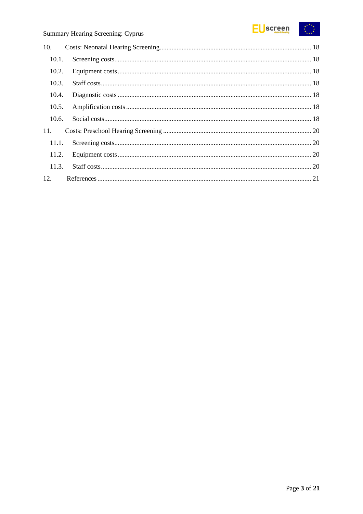

| 10.1. |  |
|-------|--|
| 10.2. |  |
| 10.3. |  |
| 10.4. |  |
| 10.5. |  |
| 10.6. |  |
|       |  |
| 11.1. |  |
| 11.2. |  |
| 11.3. |  |
|       |  |
|       |  |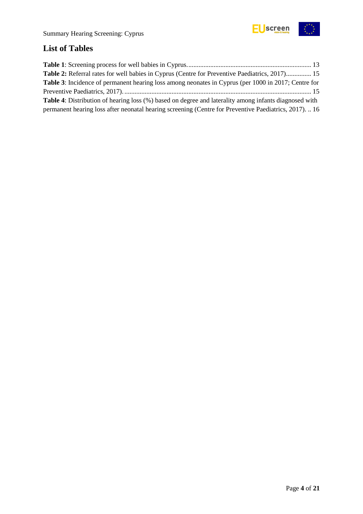

## <span id="page-3-0"></span>**List of Tables**

| Table 2: Referral rates for well babies in Cyprus (Centre for Preventive Paediatrics, 2017) 15               |
|--------------------------------------------------------------------------------------------------------------|
| <b>Table 3:</b> Incidence of permanent hearing loss among neonates in Cyprus (per 1000 in 2017; Centre for   |
|                                                                                                              |
| <b>Table 4:</b> Distribution of hearing loss (%) based on degree and laterality among infants diagnosed with |
| permanent hearing loss after neonatal hearing screening (Centre for Preventive Paediatrics, 2017) 16         |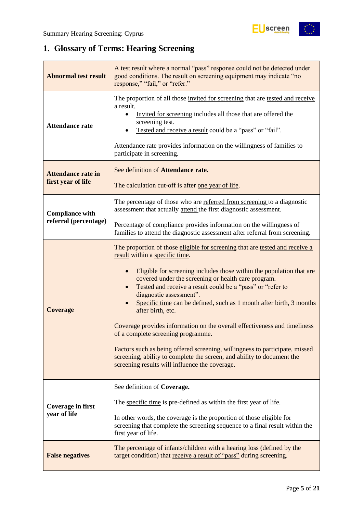## <span id="page-4-0"></span>**1. Glossary of Terms: Hearing Screening**

| <b>Abnormal test result</b>                     | A test result where a normal "pass" response could not be detected under<br>good conditions. The result on screening equipment may indicate "no<br>response," "fail," or "refer."                                                                                                                                                                                                                                                                                                                                                                                                                                                                                                                                                                                             |  |  |  |
|-------------------------------------------------|-------------------------------------------------------------------------------------------------------------------------------------------------------------------------------------------------------------------------------------------------------------------------------------------------------------------------------------------------------------------------------------------------------------------------------------------------------------------------------------------------------------------------------------------------------------------------------------------------------------------------------------------------------------------------------------------------------------------------------------------------------------------------------|--|--|--|
| <b>Attendance rate</b>                          | The proportion of all those invited for screening that are tested and receive<br>a result,<br>Invited for screening includes all those that are offered the<br>screening test.<br>Tested and receive a result could be a "pass" or "fail".<br>Attendance rate provides information on the willingness of families to<br>participate in screening.                                                                                                                                                                                                                                                                                                                                                                                                                             |  |  |  |
| <b>Attendance rate in</b><br>first year of life | See definition of Attendance rate.<br>The calculation cut-off is after one year of life.                                                                                                                                                                                                                                                                                                                                                                                                                                                                                                                                                                                                                                                                                      |  |  |  |
| <b>Compliance with</b>                          | The percentage of those who are referred from screening to a diagnostic<br>assessment that actually attend the first diagnostic assessment.                                                                                                                                                                                                                                                                                                                                                                                                                                                                                                                                                                                                                                   |  |  |  |
| referral (percentage)                           | Percentage of compliance provides information on the willingness of<br>families to attend the diagnostic assessment after referral from screening.                                                                                                                                                                                                                                                                                                                                                                                                                                                                                                                                                                                                                            |  |  |  |
| <b>Coverage</b>                                 | The proportion of those eligible for screening that are tested and receive a<br>result within a specific time.<br>Eligible for screening includes those within the population that are<br>$\bullet$<br>covered under the screening or health care program.<br>Tested and receive a result could be a "pass" or "refer to<br>diagnostic assessment".<br>Specific time can be defined, such as 1 month after birth, 3 months<br>after birth, etc.<br>Coverage provides information on the overall effectiveness and timeliness<br>of a complete screening programme.<br>Factors such as being offered screening, willingness to participate, missed<br>screening, ability to complete the screen, and ability to document the<br>screening results will influence the coverage. |  |  |  |
| <b>Coverage in first</b><br>year of life        | See definition of Coverage.<br>The specific time is pre-defined as within the first year of life.<br>In other words, the coverage is the proportion of those eligible for<br>screening that complete the screening sequence to a final result within the<br>first year of life.                                                                                                                                                                                                                                                                                                                                                                                                                                                                                               |  |  |  |
| <b>False negatives</b>                          | The percentage of infants/children with a hearing loss (defined by the<br>target condition) that receive a result of "pass" during screening.                                                                                                                                                                                                                                                                                                                                                                                                                                                                                                                                                                                                                                 |  |  |  |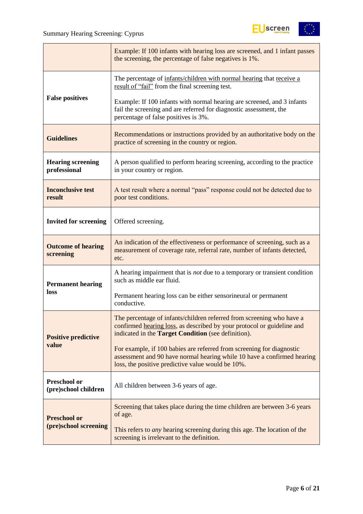

|                                          | Example: If 100 infants with hearing loss are screened, and 1 infant passes<br>the screening, the percentage of false negatives is 1%.                                                                 |  |  |
|------------------------------------------|--------------------------------------------------------------------------------------------------------------------------------------------------------------------------------------------------------|--|--|
|                                          | The percentage of infants/children with normal hearing that receive a<br>result of "fail" from the final screening test.                                                                               |  |  |
| <b>False positives</b>                   | Example: If 100 infants with normal hearing are screened, and 3 infants<br>fail the screening and are referred for diagnostic assessment, the<br>percentage of false positives is 3%.                  |  |  |
| <b>Guidelines</b>                        | Recommendations or instructions provided by an authoritative body on the<br>practice of screening in the country or region.                                                                            |  |  |
| <b>Hearing screening</b><br>professional | A person qualified to perform hearing screening, according to the practice<br>in your country or region.                                                                                               |  |  |
| <b>Inconclusive test</b><br>result       | A test result where a normal "pass" response could not be detected due to<br>poor test conditions.                                                                                                     |  |  |
| <b>Invited for screening</b>             | Offered screening.                                                                                                                                                                                     |  |  |
| <b>Outcome of hearing</b><br>screening   | An indication of the effectiveness or performance of screening, such as a<br>measurement of coverage rate, referral rate, number of infants detected,<br>etc.                                          |  |  |
| <b>Permanent hearing</b>                 | A hearing impairment that is <i>not</i> due to a temporary or transient condition<br>such as middle ear fluid.                                                                                         |  |  |
| loss                                     | Permanent hearing loss can be either sensorineural or permanent<br>conductive.                                                                                                                         |  |  |
| <b>Positive predictive</b>               | The percentage of infants/children referred from screening who have a<br>confirmed hearing loss, as described by your protocol or guideline and<br>indicated in the Target Condition (see definition). |  |  |
| value                                    | For example, if 100 babies are referred from screening for diagnostic<br>assessment and 90 have normal hearing while 10 have a confirmed hearing<br>loss, the positive predictive value would be 10%.  |  |  |
| Preschool or<br>(pre)school children     | All children between 3-6 years of age.                                                                                                                                                                 |  |  |
| <b>Preschool or</b>                      | Screening that takes place during the time children are between 3-6 years<br>of age.                                                                                                                   |  |  |
| (pre)school screening                    | This refers to <i>any</i> hearing screening during this age. The location of the<br>screening is irrelevant to the definition.                                                                         |  |  |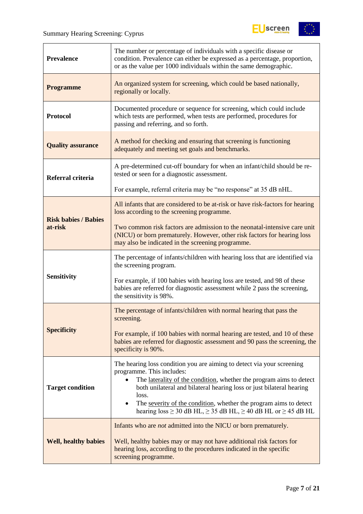

| <b>Prevalence</b>           | The number or percentage of individuals with a specific disease or<br>condition. Prevalence can either be expressed as a percentage, proportion,<br>or as the value per 1000 individuals within the same demographic.                                                                                                                                                                                                 |  |  |
|-----------------------------|-----------------------------------------------------------------------------------------------------------------------------------------------------------------------------------------------------------------------------------------------------------------------------------------------------------------------------------------------------------------------------------------------------------------------|--|--|
| <b>Programme</b>            | An organized system for screening, which could be based nationally,<br>regionally or locally.                                                                                                                                                                                                                                                                                                                         |  |  |
| <b>Protocol</b>             | Documented procedure or sequence for screening, which could include<br>which tests are performed, when tests are performed, procedures for<br>passing and referring, and so forth.                                                                                                                                                                                                                                    |  |  |
| <b>Quality assurance</b>    | A method for checking and ensuring that screening is functioning<br>adequately and meeting set goals and benchmarks.                                                                                                                                                                                                                                                                                                  |  |  |
| Referral criteria           | A pre-determined cut-off boundary for when an infant/child should be re-<br>tested or seen for a diagnostic assessment.                                                                                                                                                                                                                                                                                               |  |  |
|                             | For example, referral criteria may be "no response" at 35 dB nHL.                                                                                                                                                                                                                                                                                                                                                     |  |  |
| <b>Risk babies / Babies</b> | All infants that are considered to be at-risk or have risk-factors for hearing<br>loss according to the screening programme.                                                                                                                                                                                                                                                                                          |  |  |
| at-risk                     | Two common risk factors are admission to the neonatal-intensive care unit<br>(NICU) or born prematurely. However, other risk factors for hearing loss<br>may also be indicated in the screening programme.                                                                                                                                                                                                            |  |  |
|                             | The percentage of infants/children with hearing loss that are identified via<br>the screening program.                                                                                                                                                                                                                                                                                                                |  |  |
| <b>Sensitivity</b>          | For example, if 100 babies with hearing loss are tested, and 98 of these<br>babies are referred for diagnostic assessment while 2 pass the screening,<br>the sensitivity is 98%.                                                                                                                                                                                                                                      |  |  |
|                             | The percentage of infants/children with normal hearing that pass the<br>screening.                                                                                                                                                                                                                                                                                                                                    |  |  |
| <b>Specificity</b>          | For example, if 100 babies with normal hearing are tested, and 10 of these<br>babies are referred for diagnostic assessment and 90 pass the screening, the<br>specificity is 90%.                                                                                                                                                                                                                                     |  |  |
| <b>Target condition</b>     | The hearing loss condition you are aiming to detect via your screening<br>programme. This includes:<br>The laterality of the condition, whether the program aims to detect<br>both unilateral and bilateral hearing loss or just bilateral hearing<br>loss.<br>The severity of the condition, whether the program aims to detect<br>hearing loss $\geq$ 30 dB HL, $\geq$ 35 dB HL, $\geq$ 40 dB HL or $\geq$ 45 dB HL |  |  |
| <b>Well, healthy babies</b> | Infants who are <i>not</i> admitted into the NICU or born prematurely.<br>Well, healthy babies may or may not have additional risk factors for<br>hearing loss, according to the procedures indicated in the specific<br>screening programme.                                                                                                                                                                         |  |  |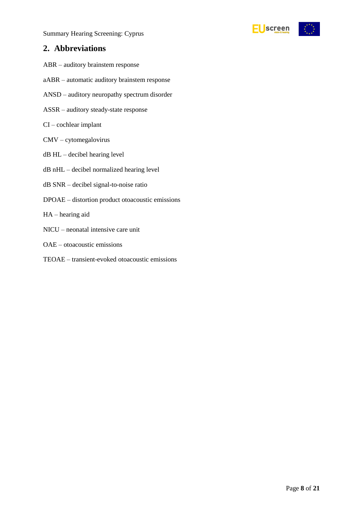Summary Hearing Screening: Cyprus



### <span id="page-7-0"></span>**2. Abbreviations**

- ABR auditory brainstem response
- aABR automatic auditory brainstem response
- ANSD auditory neuropathy spectrum disorder
- ASSR auditory steady-state response
- CI cochlear implant
- CMV cytomegalovirus
- dB HL decibel hearing level
- dB nHL decibel normalized hearing level
- dB SNR decibel signal-to-noise ratio
- DPOAE distortion product otoacoustic emissions
- HA hearing aid
- NICU neonatal intensive care unit
- OAE otoacoustic emissions
- TEOAE transient-evoked otoacoustic emissions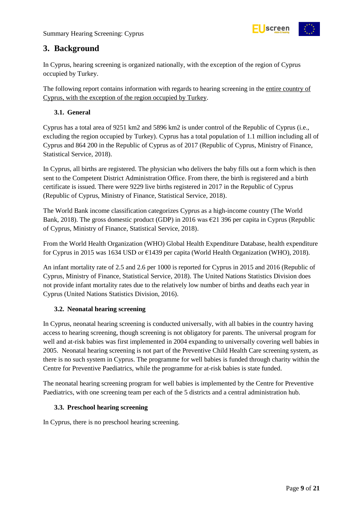

## <span id="page-8-0"></span>**3. Background**

In Cyprus, hearing screening is organized nationally, with the exception of the region of Cyprus occupied by Turkey.

The following report contains information with regards to hearing screening in the entire country of Cyprus, with the exception of the region occupied by Turkey.

#### <span id="page-8-1"></span>**3.1. General**

Cyprus has a total area of 9251 km2 and 5896 km2 is under control of the Republic of Cyprus (i.e., excluding the region occupied by Turkey). Cyprus has a total population of 1.1 million including all of Cyprus and 864 200 in the Republic of Cyprus as of 2017 (Republic of Cyprus, Ministry of Finance, Statistical Service, 2018).

In Cyprus, all births are registered. The physician who delivers the baby fills out a form which is then sent to the Competent District Administration Office. From there, the birth is registered and a birth certificate is issued. There were 9229 live births registered in 2017 in the Republic of Cyprus (Republic of Cyprus, Ministry of Finance, Statistical Service, 2018).

The World Bank income classification categorizes Cyprus as a high-income country (The World Bank, 2018). The gross domestic product (GDP) in 2016 was €21 396 per capita in Cyprus (Republic of Cyprus, Ministry of Finance, Statistical Service, 2018).

From the World Health Organization (WHO) Global Health Expenditure Database, health expenditure for Cyprus in 2015 was 1634 USD or €1439 per capita (World Health Organization (WHO), 2018).

An infant mortality rate of 2.5 and 2.6 per 1000 is reported for Cyprus in 2015 and 2016 (Republic of Cyprus, Ministry of Finance, Statistical Service, 2018). The United Nations Statistics Division does not provide infant mortality rates due to the relatively low number of births and deaths each year in Cyprus (United Nations Statistics Division, 2016).

#### <span id="page-8-2"></span>**3.2. Neonatal hearing screening**

In Cyprus, neonatal hearing screening is conducted universally, with all babies in the country having access to hearing screening, though screening is not obligatory for parents. The universal program for well and at-risk babies was first implemented in 2004 expanding to universally covering well babies in 2005. Neonatal hearing screening is not part of the Preventive Child Health Care screening system, as there is no such system in Cyprus. The programme for well babies is funded through charity within the Centre for Preventive Paediatrics, while the programme for at-risk babies is state funded.

The neonatal hearing screening program for well babies is implemented by the Centre for Preventive Paediatrics, with one screening team per each of the 5 districts and a central administration hub.

#### <span id="page-8-3"></span>**3.3. Preschool hearing screening**

In Cyprus, there is no preschool hearing screening.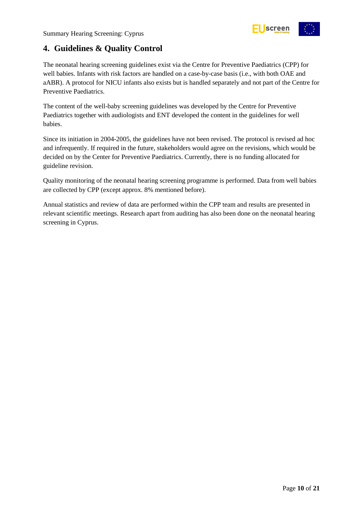

## <span id="page-9-0"></span>**4. Guidelines & Quality Control**

The neonatal hearing screening guidelines exist via the Centre for Preventive Paediatrics (CPP) for well babies. Infants with risk factors are handled on a case-by-case basis (i.e., with both OAE and aABR). A protocol for NICU infants also exists but is handled separately and not part of the Centre for Preventive Paediatrics.

The content of the well-baby screening guidelines was developed by the Centre for Preventive Paediatrics together with audiologists and ENT developed the content in the guidelines for well babies.

Since its initiation in 2004-2005, the guidelines have not been revised. The protocol is revised ad hoc and infrequently. If required in the future, stakeholders would agree on the revisions, which would be decided on by the Center for Preventive Paediatrics. Currently, there is no funding allocated for guideline revision.

Quality monitoring of the neonatal hearing screening programme is performed. Data from well babies are collected by CPP (except approx. 8% mentioned before).

Annual statistics and review of data are performed within the CPP team and results are presented in relevant scientific meetings. Research apart from auditing has also been done on the neonatal hearing screening in Cyprus.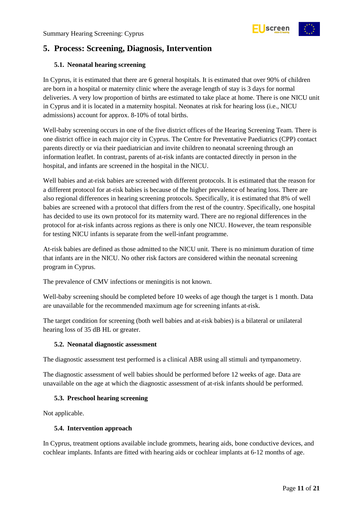

## <span id="page-10-0"></span>**5. Process: Screening, Diagnosis, Intervention**

#### <span id="page-10-1"></span>**5.1. Neonatal hearing screening**

In Cyprus, it is estimated that there are 6 general hospitals. It is estimated that over 90% of children are born in a hospital or maternity clinic where the average length of stay is 3 days for normal deliveries. A very low proportion of births are estimated to take place at home. There is one NICU unit in Cyprus and it is located in a maternity hospital. Neonates at risk for hearing loss (i.e., NICU admissions) account for approx. 8-10% of total births.

Well-baby screening occurs in one of the five district offices of the Hearing Screening Team. There is one district office in each major city in Cyprus. The Centre for Preventative Paediatrics (CPP) contact parents directly or via their paediatrician and invite children to neonatal screening through an information leaflet. In contrast, parents of at-risk infants are contacted directly in person in the hospital, and infants are screened in the hospital in the NICU.

Well babies and at-risk babies are screened with different protocols. It is estimated that the reason for a different protocol for at-risk babies is because of the higher prevalence of hearing loss. There are also regional differences in hearing screening protocols. Specifically, it is estimated that 8% of well babies are screened with a protocol that differs from the rest of the country. Specifically, one hospital has decided to use its own protocol for its maternity ward. There are no regional differences in the protocol for at-risk infants across regions as there is only one NICU. However, the team responsible for testing NICU infants is separate from the well-infant programme.

At-risk babies are defined as those admitted to the NICU unit. There is no minimum duration of time that infants are in the NICU. No other risk factors are considered within the neonatal screening program in Cyprus.

The prevalence of CMV infections or meningitis is not known.

Well-baby screening should be completed before 10 weeks of age though the target is 1 month. Data are unavailable for the recommended maximum age for screening infants at-risk.

The target condition for screening (both well babies and at-risk babies) is a bilateral or unilateral hearing loss of 35 dB HL or greater.

#### <span id="page-10-2"></span>**5.2. Neonatal diagnostic assessment**

The diagnostic assessment test performed is a clinical ABR using all stimuli and tympanometry.

The diagnostic assessment of well babies should be performed before 12 weeks of age. Data are unavailable on the age at which the diagnostic assessment of at-risk infants should be performed.

#### <span id="page-10-3"></span>**5.3. Preschool hearing screening**

Not applicable.

#### <span id="page-10-4"></span>**5.4. Intervention approach**

In Cyprus, treatment options available include grommets, hearing aids, bone conductive devices, and cochlear implants. Infants are fitted with hearing aids or cochlear implants at 6-12 months of age.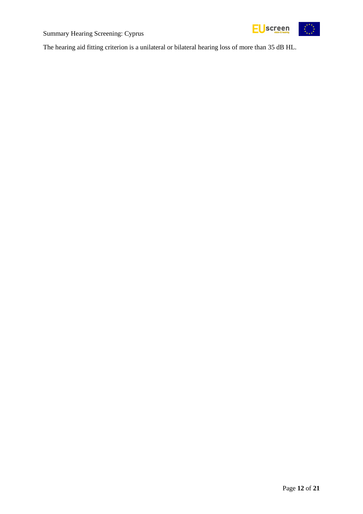



The hearing aid fitting criterion is a unilateral or bilateral hearing loss of more than 35 dB HL.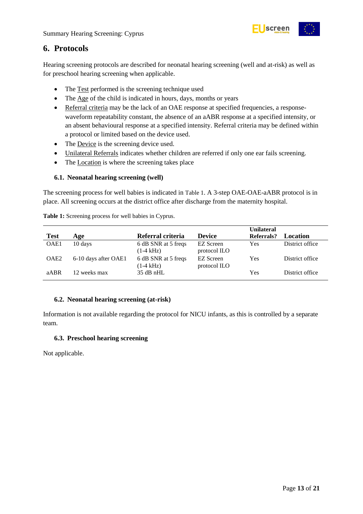

### <span id="page-12-0"></span>**6. Protocols**

Hearing screening protocols are described for neonatal hearing screening (well and at-risk) as well as for preschool hearing screening when applicable.

- The Test performed is the screening technique used
- The Age of the child is indicated in hours, days, months or years
- Referral criteria may be the lack of an OAE response at specified frequencies, a responsewaveform repeatability constant, the absence of an aABR response at a specified intensity, or an absent behavioural response at a specified intensity. Referral criteria may be defined within a protocol or limited based on the device used.
- The Device is the screening device used.
- Unilateral Referrals indicates whether children are referred if only one ear fails screening.
- The Location is where the screening takes place

#### <span id="page-12-1"></span>**6.1. Neonatal hearing screening (well)**

The screening process for well babies is indicated in [Table 1](#page-12-4). A 3-step OAE-OAE-aABR protocol is in place. All screening occurs at the district office after discharge from the maternity hospital.

|                  |                      |                                            |                           | <b>Unilateral</b> |                 |
|------------------|----------------------|--------------------------------------------|---------------------------|-------------------|-----------------|
| <b>Test</b>      | Age                  | Referral criteria                          | <b>Device</b>             | Referrals?        | <b>Location</b> |
| OAE1             | 10 days              | 6 dB SNR at 5 freqs<br>$(1-4 \text{ kHz})$ | EZ Screen<br>protocol ILO | Yes               | District office |
| OAE <sub>2</sub> | 6-10 days after OAE1 | 6 dB SNR at 5 freqs<br>$(1-4 \text{ kHz})$ | EZ Screen<br>protocol ILO | Yes               | District office |
| aABR             | 12 weeks max         | $35$ dB nHL                                |                           | Yes               | District office |

<span id="page-12-4"></span>**Table 1:** Screening process for well babies in Cyprus.

#### <span id="page-12-2"></span>**6.2. Neonatal hearing screening (at-risk)**

Information is not available regarding the protocol for NICU infants, as this is controlled by a separate team.

#### <span id="page-12-3"></span>**6.3. Preschool hearing screening**

Not applicable.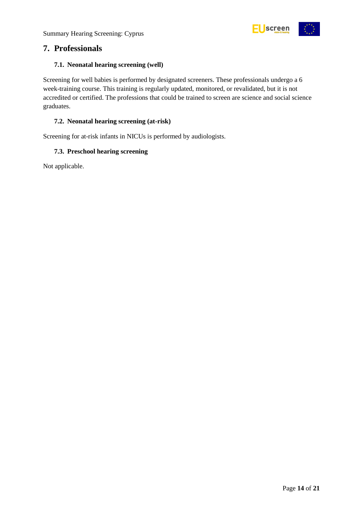

### <span id="page-13-0"></span>**7. Professionals**

#### <span id="page-13-1"></span>**7.1. Neonatal hearing screening (well)**

Screening for well babies is performed by designated screeners. These professionals undergo a 6 week-training course. This training is regularly updated, monitored, or revalidated, but it is not accredited or certified. The professions that could be trained to screen are science and social science graduates.

#### <span id="page-13-2"></span>**7.2. Neonatal hearing screening (at-risk)**

Screening for at-risk infants in NICUs is performed by audiologists.

#### <span id="page-13-3"></span>**7.3. Preschool hearing screening**

Not applicable.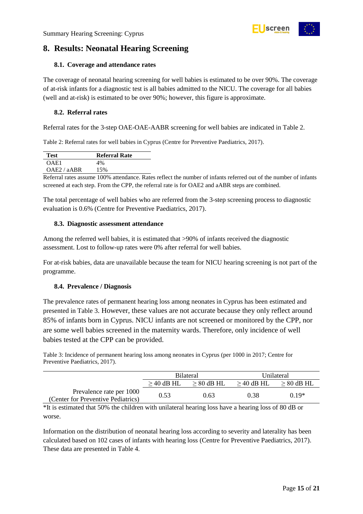## <span id="page-14-0"></span>**8. Results: Neonatal Hearing Screening**

#### <span id="page-14-1"></span>**8.1. Coverage and attendance rates**

The coverage of neonatal hearing screening for well babies is estimated to be over 90%. The coverage of at-risk infants for a diagnostic test is all babies admitted to the NICU. The coverage for all babies (well and at-risk) is estimated to be over 90%; however, this figure is approximate.

#### <span id="page-14-2"></span>**8.2. Referral rates**

Referral rates for the 3-step OAE-OAE-AABR screening for well babies are indicated in Table 2.

<span id="page-14-5"></span>Table 2: Referral rates for well babies in Cyprus (Centre for Preventive Paediatrics, 2017).

| <b>Test</b> | <b>Referral Rate</b> |
|-------------|----------------------|
| OAE1        | 4%                   |
| OAE2 / aABR | 15%                  |

Referral rates assume 100% attendance. Rates reflect the number of infants referred out of the number of infants screened at each step. From the CPP, the referral rate is for OAE2 and aABR steps are combined.

The total percentage of well babies who are referred from the 3-step screening process to diagnostic evaluation is 0.6% (Centre for Preventive Paediatrics, 2017).

#### <span id="page-14-3"></span>**8.3. Diagnostic assessment attendance**

Among the referred well babies, it is estimated that >90% of infants received the diagnostic assessment. Lost to follow-up rates were 0% after referral for well babies.

For at-risk babies, data are unavailable because the team for NICU hearing screening is not part of the programme.

#### <span id="page-14-4"></span>**8.4. Prevalence / Diagnosis**

The prevalence rates of permanent hearing loss among neonates in Cyprus has been estimated and presented in [Table 3](#page-14-6). However, these values are not accurate because they only reflect around 85% of infants born in Cyprus. NICU infants are not screened or monitored by the CPP, nor are some well babies screened in the maternity wards. Therefore, only incidence of well babies tested at the CPP can be provided.

<span id="page-14-6"></span>Table 3: Incidence of permanent hearing loss among neonates in Cyprus (per 1000 in 2017; Centre for Preventive Paediatrics, 2017).

|                                                                | <b>Bilateral</b> |                 | Unilateral      |                 |
|----------------------------------------------------------------|------------------|-----------------|-----------------|-----------------|
|                                                                | $\geq$ 40 dB HL  | $\geq 80$ dB HL | $\geq$ 40 dB HL | $\geq 80$ dB HL |
| Prevalence rate per 1000<br>(Center for Preventive Pediatrics) | 0.53             | 0.63            | 0.38            | 0.19*           |

\*It is estimated that 50% the children with unilateral hearing loss have a hearing loss of 80 dB or worse.

Information on the distribution of neonatal hearing loss according to severity and laterality has been calculated based on 102 cases of infants with hearing loss (Centre for Preventive Paediatrics, 2017). These data are presented in [Table 4.](#page-15-2)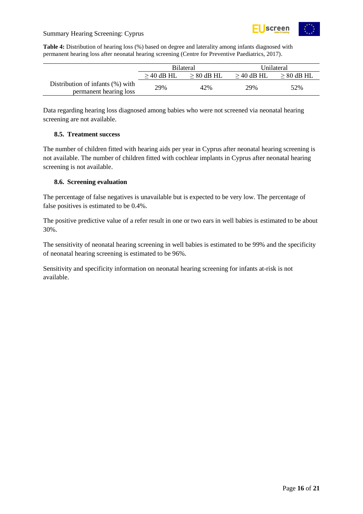

#### Summary Hearing Screening: Cyprus

<span id="page-15-2"></span>**Table 4:** Distribution of hearing loss (%) based on degree and laterality among infants diagnosed with permanent hearing loss after neonatal hearing screening (Centre for Preventive Paediatrics, 2017).

|                                                            | <b>Bilateral</b> |                 | Unilateral      |                 |
|------------------------------------------------------------|------------------|-----------------|-----------------|-----------------|
|                                                            | $\geq$ 40 dB HL  | $\geq 80$ dB HL | $\geq$ 40 dB HL | $\geq 80$ dB HL |
| Distribution of infants (%) with<br>permanent hearing loss | 29%              | 42%             | 29%             | 52%             |

Data regarding hearing loss diagnosed among babies who were not screened via neonatal hearing screening are not available.

#### <span id="page-15-0"></span>**8.5. Treatment success**

The number of children fitted with hearing aids per year in Cyprus after neonatal hearing screening is not available. The number of children fitted with cochlear implants in Cyprus after neonatal hearing screening is not available.

#### <span id="page-15-1"></span>**8.6. Screening evaluation**

The percentage of false negatives is unavailable but is expected to be very low. The percentage of false positives is estimated to be 0.4%.

The positive predictive value of a refer result in one or two ears in well babies is estimated to be about 30%.

The sensitivity of neonatal hearing screening in well babies is estimated to be 99% and the specificity of neonatal hearing screening is estimated to be 96%.

Sensitivity and specificity information on neonatal hearing screening for infants at-risk is not available.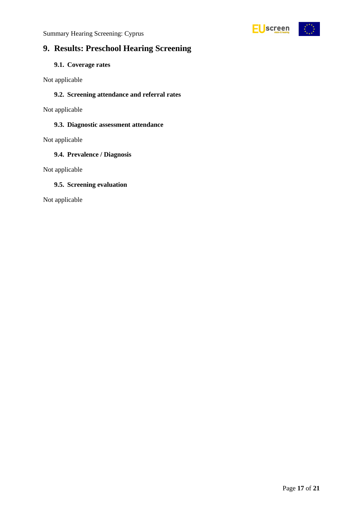Summary Hearing Screening: Cyprus



## <span id="page-16-0"></span>**9. Results: Preschool Hearing Screening**

#### <span id="page-16-1"></span>**9.1. Coverage rates**

Not applicable

#### <span id="page-16-2"></span>**9.2. Screening attendance and referral rates**

Not applicable

#### <span id="page-16-3"></span>**9.3. Diagnostic assessment attendance**

Not applicable

#### <span id="page-16-4"></span>**9.4. Prevalence / Diagnosis**

Not applicable

#### <span id="page-16-5"></span>**9.5. Screening evaluation**

Not applicable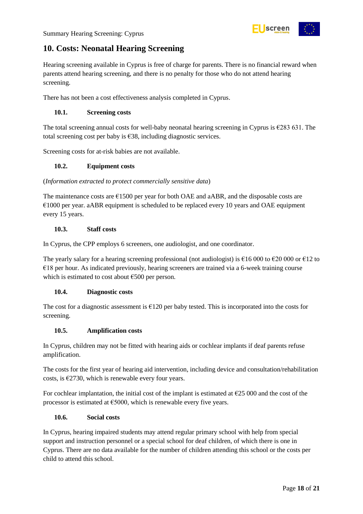## <span id="page-17-0"></span>**10. Costs: Neonatal Hearing Screening**

Hearing screening available in Cyprus is free of charge for parents. There is no financial reward when parents attend hearing screening, and there is no penalty for those who do not attend hearing screening.

There has not been a cost effectiveness analysis completed in Cyprus.

#### <span id="page-17-1"></span>**10.1. Screening costs**

The total screening annual costs for well-baby neonatal hearing screening in Cyprus is  $\epsilon$ 283 631. The total screening cost per baby is €38, including diagnostic services.

Screening costs for at-risk babies are not available.

#### <span id="page-17-2"></span>**10.2. Equipment costs**

#### (*Information extracted to protect commercially sensitive data*)

The maintenance costs are  $\epsilon$ 1500 per year for both OAE and aABR, and the disposable costs are €1000 per year. aABR equipment is scheduled to be replaced every 10 years and OAE equipment every 15 years.

#### <span id="page-17-3"></span>**10.3. Staff costs**

In Cyprus, the CPP employs 6 screeners, one audiologist, and one coordinator.

The yearly salary for a hearing screening professional (not audiologist) is  $\epsilon$ 16 000 to  $\epsilon$ 20 000 or  $\epsilon$ 12 to  $€18$  per hour. As indicated previously, hearing screeners are trained via a 6-week training course which is estimated to cost about €500 per person.

#### <span id="page-17-4"></span>**10.4. Diagnostic costs**

The cost for a diagnostic assessment is €120 per baby tested. This is incorporated into the costs for screening.

#### <span id="page-17-5"></span>**10.5. Amplification costs**

In Cyprus, children may not be fitted with hearing aids or cochlear implants if deaf parents refuse amplification.

The costs for the first year of hearing aid intervention, including device and consultation/rehabilitation costs, is  $\epsilon$ 2730, which is renewable every four years.

For cochlear implantation, the initial cost of the implant is estimated at  $\epsilon$ 25 000 and the cost of the processor is estimated at  $\epsilon$ 5000, which is renewable every five years.

#### <span id="page-17-6"></span>**10.6. Social costs**

In Cyprus, hearing impaired students may attend regular primary school with help from special support and instruction personnel or a special school for deaf children, of which there is one in Cyprus. There are no data available for the number of children attending this school or the costs per child to attend this school.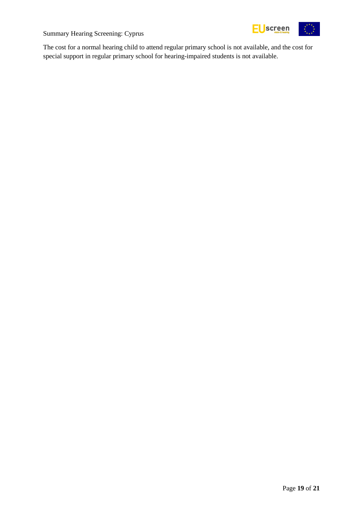



The cost for a normal hearing child to attend regular primary school is not available, and the cost for special support in regular primary school for hearing-impaired students is not available.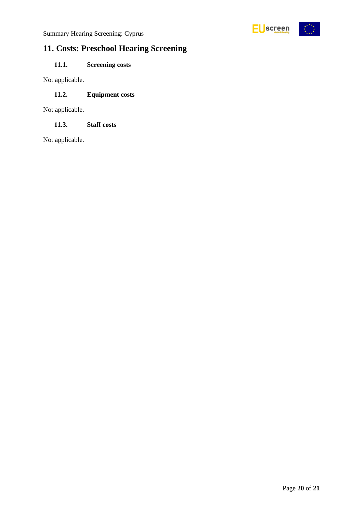

## <span id="page-19-0"></span>**11. Costs: Preschool Hearing Screening**

### <span id="page-19-1"></span>**11.1. Screening costs**

Not applicable.

#### <span id="page-19-2"></span>**11.2. Equipment costs**

Not applicable.

<span id="page-19-3"></span>**11.3. Staff costs**

Not applicable.